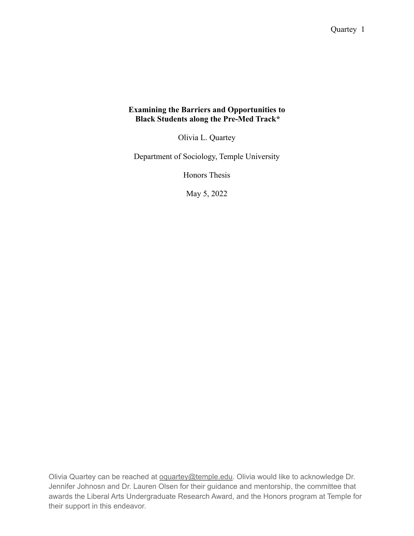# **Examining the Barriers and Opportunities to Black Students along the Pre-Med Track\***

Olivia L. Quartey

Department of Sociology, Temple University

Honors Thesis

May 5, 2022

Olivia Quartey can be reached at [oquartey@temple.edu](mailto:oquartey@temple.edu). Olivia would like to acknowledge Dr. Jennifer Johnosn and Dr. Lauren Olsen for their guidance and mentorship, the committee that awards the Liberal Arts Undergraduate Research Award, and the Honors program at Temple for their support in this endeavor.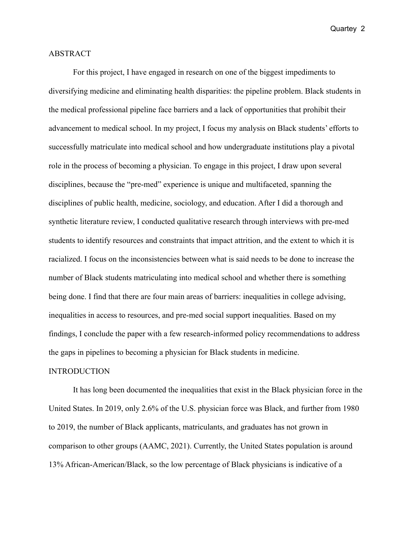# ABSTRACT

For this project, I have engaged in research on one of the biggest impediments to diversifying medicine and eliminating health disparities: the pipeline problem. Black students in the medical professional pipeline face barriers and a lack of opportunities that prohibit their advancement to medical school. In my project, I focus my analysis on Black students' efforts to successfully matriculate into medical school and how undergraduate institutions play a pivotal role in the process of becoming a physician. To engage in this project, I draw upon several disciplines, because the "pre-med" experience is unique and multifaceted, spanning the disciplines of public health, medicine, sociology, and education. After I did a thorough and synthetic literature review, I conducted qualitative research through interviews with pre-med students to identify resources and constraints that impact attrition, and the extent to which it is racialized. I focus on the inconsistencies between what is said needs to be done to increase the number of Black students matriculating into medical school and whether there is something being done. I find that there are four main areas of barriers: inequalities in college advising, inequalities in access to resources, and pre-med social support inequalities. Based on my findings, I conclude the paper with a few research-informed policy recommendations to address the gaps in pipelines to becoming a physician for Black students in medicine.

### **INTRODUCTION**

It has long been documented the inequalities that exist in the Black physician force in the United States. In 2019, only 2.6% of the U.S. physician force was Black, and further from 1980 to 2019, the number of Black applicants, matriculants, and graduates has not grown in comparison to other groups (AAMC, 2021). Currently, the United States population is around 13% African-American/Black, so the low percentage of Black physicians is indicative of a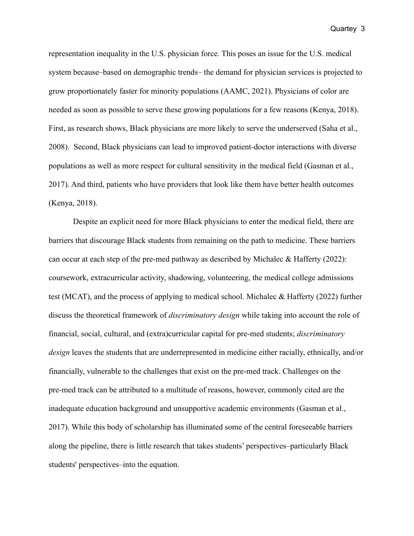representation inequality in the U.S. physician force. This poses an issue for the U.S. medical system because–based on demographic trends– the demand for physician services is projected to grow proportionately faster for minority populations (AAMC, 2021). Physicians of color are needed as soon as possible to serve these growing populations for a few reasons (Kenya, 2018). First, as research shows, Black physicians are more likely to serve the underserved (Saha et al., 2008). Second, Black physicians can lead to improved patient-doctor interactions with diverse populations as well as more respect for cultural sensitivity in the medical field (Gasman et al., 2017). And third, patients who have providers that look like them have better health outcomes (Kenya, 2018).

Despite an explicit need for more Black physicians to enter the medical field, there are barriers that discourage Black students from remaining on the path to medicine. These barriers can occur at each step of the pre-med pathway as described by Michalec & Hafferty (2022): coursework, extracurricular activity, shadowing, volunteering, the medical college admissions test (MCAT), and the process of applying to medical school. Michalec & Hafferty (2022) further discuss the theoretical framework of *discriminatory design* while taking into account the role of financial, social, cultural, and (extra)curricular capital for pre-med students; *discriminatory design* leaves the students that are underrepresented in medicine either racially, ethnically, and/or financially, vulnerable to the challenges that exist on the pre-med track. Challenges on the pre-med track can be attributed to a multitude of reasons, however, commonly cited are the inadequate education background and unsupportive academic environments (Gasman et al., 2017). While this body of scholarship has illuminated some of the central foreseeable barriers along the pipeline, there is little research that takes students' perspectives–particularly Black students' perspectives–into the equation.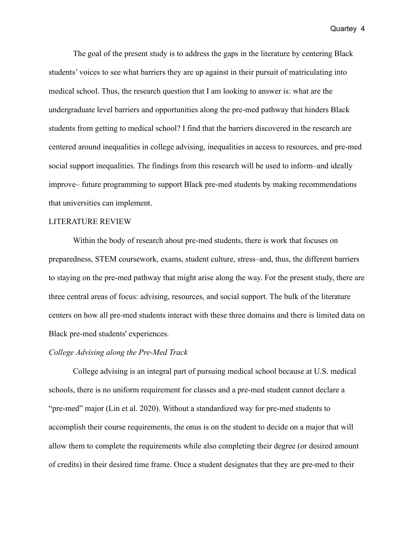The goal of the present study is to address the gaps in the literature by centering Black students' voices to see what barriers they are up against in their pursuit of matriculating into medical school. Thus, the research question that I am looking to answer is: what are the undergraduate level barriers and opportunities along the pre-med pathway that hinders Black students from getting to medical school? I find that the barriers discovered in the research are centered around inequalities in college advising, inequalities in access to resources, and pre-med social support inequalities. The findings from this research will be used to inform–and ideally improve– future programming to support Black pre-med students by making recommendations that universities can implement.

### LITERATURE REVIEW

Within the body of research about pre-med students, there is work that focuses on preparedness, STEM coursework, exams, student culture, stress–and, thus, the different barriers to staying on the pre-med pathway that might arise along the way. For the present study, there are three central areas of focus: advising, resources, and social support. The bulk of the literature centers on how all pre-med students interact with these three domains and there is limited data on Black pre-med students' experiences.

### *College Advising along the Pre-Med Track*

College advising is an integral part of pursuing medical school because at U.S. medical schools, there is no uniform requirement for classes and a pre-med student cannot declare a "pre-med" major (Lin et al. 2020). Without a standardized way for pre-med students to accomplish their course requirements, the onus is on the student to decide on a major that will allow them to complete the requirements while also completing their degree (or desired amount of credits) in their desired time frame. Once a student designates that they are pre-med to their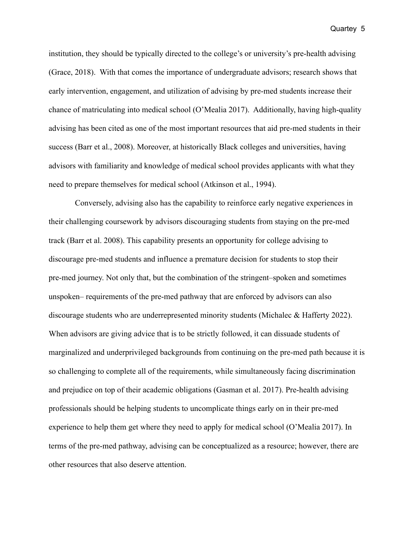institution, they should be typically directed to the college's or university's pre-health advising (Grace, 2018). With that comes the importance of undergraduate advisors; research shows that early intervention, engagement, and utilization of advising by pre-med students increase their chance of matriculating into medical school (O'Mealia 2017). Additionally, having high-quality advising has been cited as one of the most important resources that aid pre-med students in their success (Barr et al., 2008). Moreover, at historically Black colleges and universities, having advisors with familiarity and knowledge of medical school provides applicants with what they need to prepare themselves for medical school (Atkinson et al., 1994).

Conversely, advising also has the capability to reinforce early negative experiences in their challenging coursework by advisors discouraging students from staying on the pre-med track (Barr et al. 2008). This capability presents an opportunity for college advising to discourage pre-med students and influence a premature decision for students to stop their pre-med journey. Not only that, but the combination of the stringent–spoken and sometimes unspoken– requirements of the pre-med pathway that are enforced by advisors can also discourage students who are underrepresented minority students (Michalec & Hafferty 2022). When advisors are giving advice that is to be strictly followed, it can dissuade students of marginalized and underprivileged backgrounds from continuing on the pre-med path because it is so challenging to complete all of the requirements, while simultaneously facing discrimination and prejudice on top of their academic obligations (Gasman et al. 2017). Pre-health advising professionals should be helping students to uncomplicate things early on in their pre-med experience to help them get where they need to apply for medical school (O'Mealia 2017). In terms of the pre-med pathway, advising can be conceptualized as a resource; however, there are other resources that also deserve attention.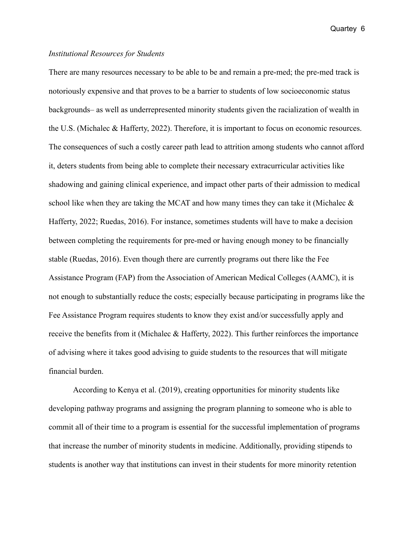# *Institutional Resources for Students*

There are many resources necessary to be able to be and remain a pre-med; the pre-med track is notoriously expensive and that proves to be a barrier to students of low socioeconomic status backgrounds– as well as underrepresented minority students given the racialization of wealth in the U.S. (Michalec & Hafferty, 2022). Therefore, it is important to focus on economic resources. The consequences of such a costly career path lead to attrition among students who cannot afford it, deters students from being able to complete their necessary extracurricular activities like shadowing and gaining clinical experience, and impact other parts of their admission to medical school like when they are taking the MCAT and how many times they can take it (Michalec & Hafferty, 2022; Ruedas, 2016). For instance, sometimes students will have to make a decision between completing the requirements for pre-med or having enough money to be financially stable (Ruedas, 2016). Even though there are currently programs out there like the Fee Assistance Program (FAP) from the Association of American Medical Colleges (AAMC), it is not enough to substantially reduce the costs; especially because participating in programs like the Fee Assistance Program requires students to know they exist and/or successfully apply and receive the benefits from it (Michalec & Hafferty, 2022). This further reinforces the importance of advising where it takes good advising to guide students to the resources that will mitigate financial burden.

According to Kenya et al. (2019), creating opportunities for minority students like developing pathway programs and assigning the program planning to someone who is able to commit all of their time to a program is essential for the successful implementation of programs that increase the number of minority students in medicine. Additionally, providing stipends to students is another way that institutions can invest in their students for more minority retention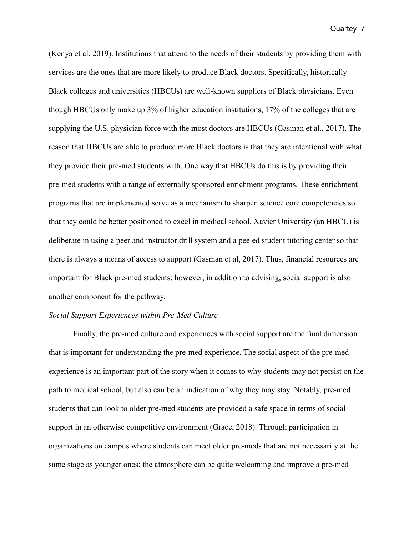(Kenya et al. 2019). Institutions that attend to the needs of their students by providing them with services are the ones that are more likely to produce Black doctors. Specifically, historically Black colleges and universities (HBCUs) are well-known suppliers of Black physicians. Even though HBCUs only make up 3% of higher education institutions, 17% of the colleges that are supplying the U.S. physician force with the most doctors are HBCUs (Gasman et al., 2017). The reason that HBCUs are able to produce more Black doctors is that they are intentional with what they provide their pre-med students with. One way that HBCUs do this is by providing their pre-med students with a range of externally sponsored enrichment programs. These enrichment programs that are implemented serve as a mechanism to sharpen science core competencies so that they could be better positioned to excel in medical school. Xavier University (an HBCU) is deliberate in using a peer and instructor drill system and a peeled student tutoring center so that there is always a means of access to support (Gasman et al, 2017). Thus, financial resources are important for Black pre-med students; however, in addition to advising, social support is also another component for the pathway.

# *Social Support Experiences within Pre-Med Culture*

Finally, the pre-med culture and experiences with social support are the final dimension that is important for understanding the pre-med experience. The social aspect of the pre-med experience is an important part of the story when it comes to why students may not persist on the path to medical school, but also can be an indication of why they may stay. Notably, pre-med students that can look to older pre-med students are provided a safe space in terms of social support in an otherwise competitive environment (Grace, 2018). Through participation in organizations on campus where students can meet older pre-meds that are not necessarily at the same stage as younger ones; the atmosphere can be quite welcoming and improve a pre-med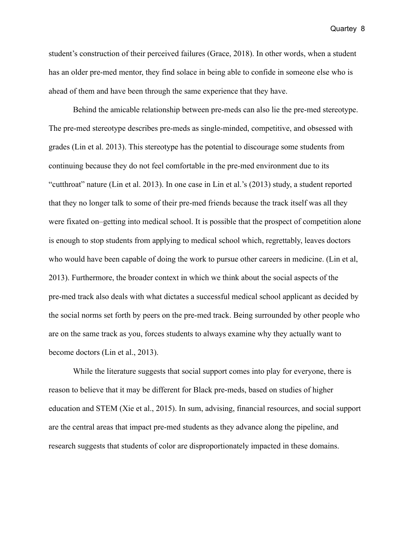student's construction of their perceived failures (Grace, 2018). In other words, when a student has an older pre-med mentor, they find solace in being able to confide in someone else who is ahead of them and have been through the same experience that they have.

Behind the amicable relationship between pre-meds can also lie the pre-med stereotype. The pre-med stereotype describes pre-meds as single-minded, competitive, and obsessed with grades (Lin et al. 2013). This stereotype has the potential to discourage some students from continuing because they do not feel comfortable in the pre-med environment due to its "cutthroat" nature (Lin et al. 2013). In one case in Lin et al.'s (2013) study, a student reported that they no longer talk to some of their pre-med friends because the track itself was all they were fixated on–getting into medical school. It is possible that the prospect of competition alone is enough to stop students from applying to medical school which, regrettably, leaves doctors who would have been capable of doing the work to pursue other careers in medicine. (Lin et al, 2013). Furthermore, the broader context in which we think about the social aspects of the pre-med track also deals with what dictates a successful medical school applicant as decided by the social norms set forth by peers on the pre-med track. Being surrounded by other people who are on the same track as you, forces students to always examine why they actually want to become doctors (Lin et al., 2013).

While the literature suggests that social support comes into play for everyone, there is reason to believe that it may be different for Black pre-meds, based on studies of higher education and STEM (Xie et al., 2015). In sum, advising, financial resources, and social support are the central areas that impact pre-med students as they advance along the pipeline, and research suggests that students of color are disproportionately impacted in these domains.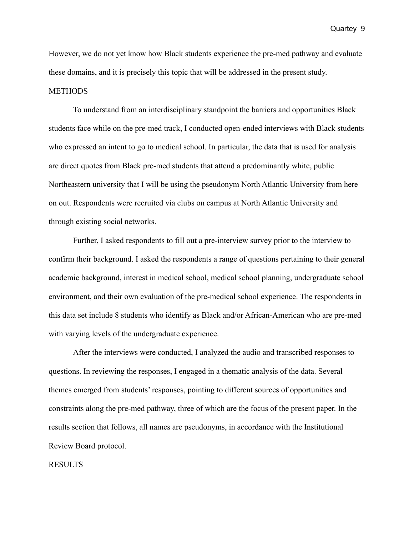However, we do not yet know how Black students experience the pre-med pathway and evaluate these domains, and it is precisely this topic that will be addressed in the present study. **METHODS** 

To understand from an interdisciplinary standpoint the barriers and opportunities Black students face while on the pre-med track, I conducted open-ended interviews with Black students who expressed an intent to go to medical school. In particular, the data that is used for analysis are direct quotes from Black pre-med students that attend a predominantly white, public Northeastern university that I will be using the pseudonym North Atlantic University from here on out. Respondents were recruited via clubs on campus at North Atlantic University and through existing social networks.

Further, I asked respondents to fill out a pre-interview survey prior to the interview to confirm their background. I asked the respondents a range of questions pertaining to their general academic background, interest in medical school, medical school planning, undergraduate school environment, and their own evaluation of the pre-medical school experience. The respondents in this data set include 8 students who identify as Black and/or African-American who are pre-med with varying levels of the undergraduate experience.

After the interviews were conducted, I analyzed the audio and transcribed responses to questions. In reviewing the responses, I engaged in a thematic analysis of the data. Several themes emerged from students' responses, pointing to different sources of opportunities and constraints along the pre-med pathway, three of which are the focus of the present paper. In the results section that follows, all names are pseudonyms, in accordance with the Institutional Review Board protocol.

#### RESULTS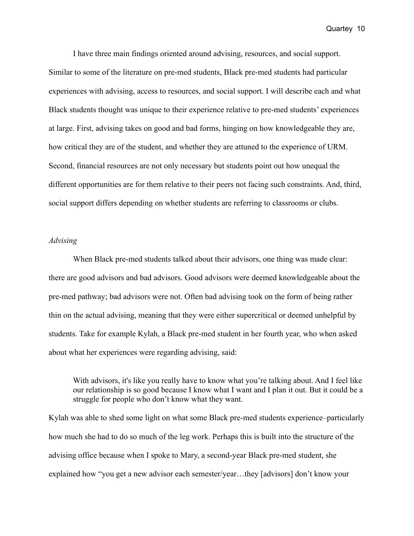I have three main findings oriented around advising, resources, and social support. Similar to some of the literature on pre-med students, Black pre-med students had particular experiences with advising, access to resources, and social support. I will describe each and what Black students thought was unique to their experience relative to pre-med students' experiences at large. First, advising takes on good and bad forms, hinging on how knowledgeable they are, how critical they are of the student, and whether they are attuned to the experience of URM. Second, financial resources are not only necessary but students point out how unequal the different opportunities are for them relative to their peers not facing such constraints. And, third, social support differs depending on whether students are referring to classrooms or clubs.

# *Advising*

When Black pre-med students talked about their advisors, one thing was made clear: there are good advisors and bad advisors. Good advisors were deemed knowledgeable about the pre-med pathway; bad advisors were not. Often bad advising took on the form of being rather thin on the actual advising, meaning that they were either supercritical or deemed unhelpful by students. Take for example Kylah, a Black pre-med student in her fourth year, who when asked about what her experiences were regarding advising, said:

With advisors, it's like you really have to know what you're talking about. And I feel like our relationship is so good because I know what I want and I plan it out. But it could be a struggle for people who don't know what they want.

Kylah was able to shed some light on what some Black pre-med students experience–particularly how much she had to do so much of the leg work. Perhaps this is built into the structure of the advising office because when I spoke to Mary, a second-year Black pre-med student, she explained how "you get a new advisor each semester/year…they [advisors] don't know your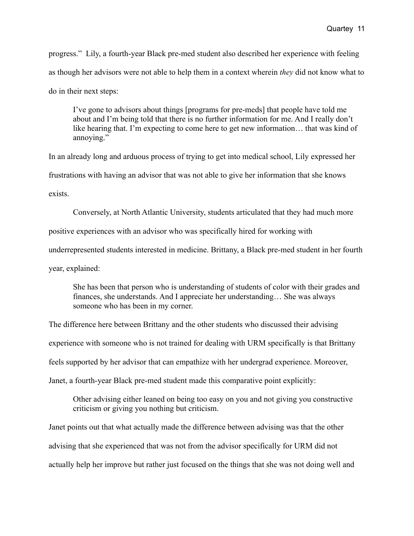progress." Lily, a fourth-year Black pre-med student also described her experience with feeling as though her advisors were not able to help them in a context wherein *they* did not know what to do in their next steps:

I've gone to advisors about things [programs for pre-meds] that people have told me about and I'm being told that there is no further information for me. And I really don't like hearing that. I'm expecting to come here to get new information... that was kind of annoying."

In an already long and arduous process of trying to get into medical school, Lily expressed her frustrations with having an advisor that was not able to give her information that she knows exists.

Conversely, at North Atlantic University, students articulated that they had much more

positive experiences with an advisor who was specifically hired for working with

underrepresented students interested in medicine. Brittany, a Black pre-med student in her fourth

year, explained:

She has been that person who is understanding of students of color with their grades and finances, she understands. And I appreciate her understanding… She was always someone who has been in my corner.

The difference here between Brittany and the other students who discussed their advising

experience with someone who is not trained for dealing with URM specifically is that Brittany

feels supported by her advisor that can empathize with her undergrad experience. Moreover,

Janet, a fourth-year Black pre-med student made this comparative point explicitly:

Other advising either leaned on being too easy on you and not giving you constructive criticism or giving you nothing but criticism.

Janet points out that what actually made the difference between advising was that the other advising that she experienced that was not from the advisor specifically for URM did not actually help her improve but rather just focused on the things that she was not doing well and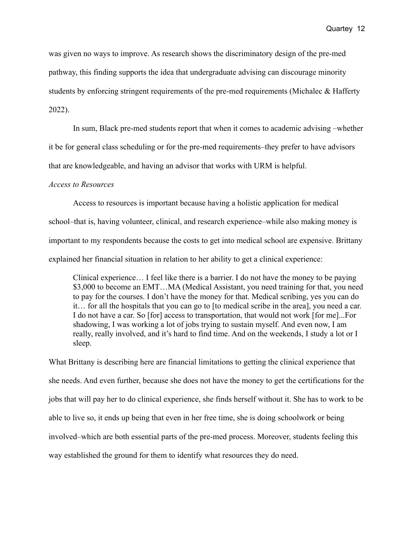was given no ways to improve. As research shows the discriminatory design of the pre-med pathway, this finding supports the idea that undergraduate advising can discourage minority students by enforcing stringent requirements of the pre-med requirements (Michalec & Hafferty 2022).

In sum, Black pre-med students report that when it comes to academic advising –whether it be for general class scheduling or for the pre-med requirements–they prefer to have advisors that are knowledgeable, and having an advisor that works with URM is helpful.

### *Access to Resources*

Access to resources is important because having a holistic application for medical school–that is, having volunteer, clinical, and research experience–while also making money is important to my respondents because the costs to get into medical school are expensive. Brittany explained her financial situation in relation to her ability to get a clinical experience:

Clinical experience… I feel like there is a barrier. I do not have the money to be paying \$3,000 to become an EMT…MA (Medical Assistant, you need training for that, you need to pay for the courses. I don't have the money for that. Medical scribing, yes you can do it… for all the hospitals that you can go to [to medical scribe in the area], you need a car. I do not have a car. So [for] access to transportation, that would not work [for me]...For shadowing, I was working a lot of jobs trying to sustain myself. And even now, I am really, really involved, and it's hard to find time. And on the weekends, I study a lot or I sleep.

What Brittany is describing here are financial limitations to getting the clinical experience that she needs. And even further, because she does not have the money to get the certifications for the jobs that will pay her to do clinical experience, she finds herself without it. She has to work to be able to live so, it ends up being that even in her free time, she is doing schoolwork or being involved–which are both essential parts of the pre-med process. Moreover, students feeling this way established the ground for them to identify what resources they do need.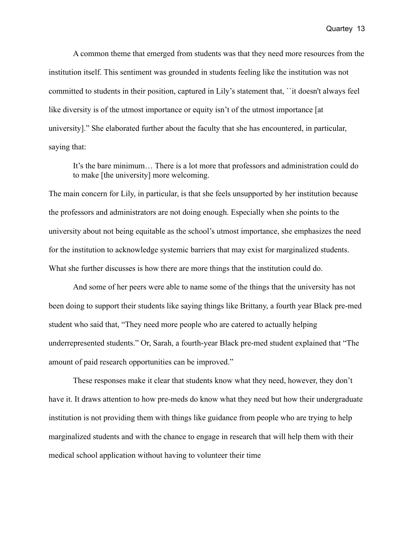A common theme that emerged from students was that they need more resources from the institution itself. This sentiment was grounded in students feeling like the institution was not committed to students in their position, captured in Lily's statement that, ``it doesn't always feel like diversity is of the utmost importance or equity isn't of the utmost importance [at] university]." She elaborated further about the faculty that she has encountered, in particular, saying that:

It's the bare minimum… There is a lot more that professors and administration could do to make [the university] more welcoming.

The main concern for Lily, in particular, is that she feels unsupported by her institution because the professors and administrators are not doing enough. Especially when she points to the university about not being equitable as the school's utmost importance, she emphasizes the need for the institution to acknowledge systemic barriers that may exist for marginalized students. What she further discusses is how there are more things that the institution could do.

And some of her peers were able to name some of the things that the university has not been doing to support their students like saying things like Brittany, a fourth year Black pre-med student who said that, "They need more people who are catered to actually helping underrepresented students." Or, Sarah, a fourth-year Black pre-med student explained that "The amount of paid research opportunities can be improved."

These responses make it clear that students know what they need, however, they don't have it. It draws attention to how pre-meds do know what they need but how their undergraduate institution is not providing them with things like guidance from people who are trying to help marginalized students and with the chance to engage in research that will help them with their medical school application without having to volunteer their time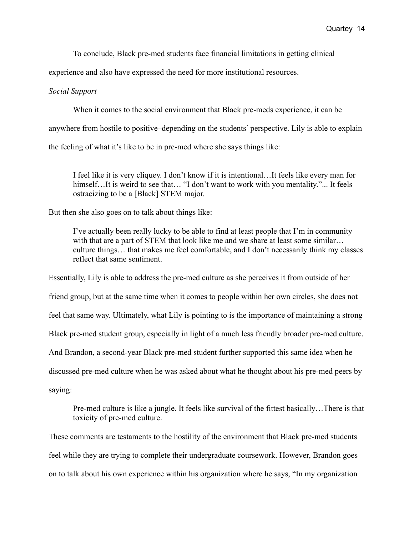To conclude, Black pre-med students face financial limitations in getting clinical

experience and also have expressed the need for more institutional resources.

# *Social Support*

When it comes to the social environment that Black pre-meds experience, it can be

anywhere from hostile to positive–depending on the students' perspective. Lily is able to explain

the feeling of what it's like to be in pre-med where she says things like:

I feel like it is very cliquey. I don't know if it is intentional…It feels like every man for himself...It is weird to see that... "I don't want to work with you mentality."... It feels ostracizing to be a [Black] STEM major.

But then she also goes on to talk about things like:

I've actually been really lucky to be able to find at least people that I'm in community with that are a part of STEM that look like me and we share at least some similar... culture things… that makes me feel comfortable, and I don't necessarily think my classes reflect that same sentiment.

Essentially, Lily is able to address the pre-med culture as she perceives it from outside of her friend group, but at the same time when it comes to people within her own circles, she does not feel that same way. Ultimately, what Lily is pointing to is the importance of maintaining a strong Black pre-med student group, especially in light of a much less friendly broader pre-med culture. And Brandon, a second-year Black pre-med student further supported this same idea when he discussed pre-med culture when he was asked about what he thought about his pre-med peers by

saying:

Pre-med culture is like a jungle. It feels like survival of the fittest basically…There is that toxicity of pre-med culture.

These comments are testaments to the hostility of the environment that Black pre-med students feel while they are trying to complete their undergraduate coursework. However, Brandon goes on to talk about his own experience within his organization where he says, "In my organization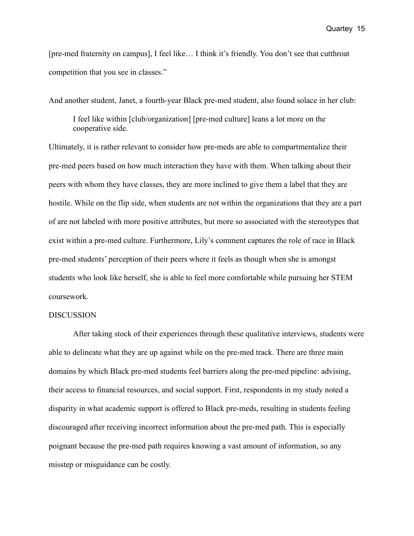[pre-med fraternity on campus], I feel like… I think it's friendly. You don't see that cutthroat competition that you see in classes."

And another student, Janet, a fourth-year Black pre-med student, also found solace in her club:

I feel like within [club/organization] [pre-med culture] leans a lot more on the cooperative side.

Ultimately, it is rather relevant to consider how pre-meds are able to compartmentalize their pre-med peers based on how much interaction they have with them. When talking about their peers with whom they have classes, they are more inclined to give them a label that they are hostile. While on the flip side, when students are not within the organizations that they are a part of are not labeled with more positive attributes, but more so associated with the stereotypes that exist within a pre-med culture. Furthermore, Lily's comment captures the role of race in Black pre-med students' perception of their peers where it feels as though when she is amongst students who look like herself, she is able to feel more comfortable while pursuing her STEM coursework.

### DISCUSSION

After taking stock of their experiences through these qualitative interviews, students were able to delineate what they are up against while on the pre-med track. There are three main domains by which Black pre-med students feel barriers along the pre-med pipeline: advising, their access to financial resources, and social support. First, respondents in my study noted a disparity in what academic support is offered to Black pre-meds, resulting in students feeling discouraged after receiving incorrect information about the pre-med path. This is especially poignant because the pre-med path requires knowing a vast amount of information, so any misstep or misguidance can be costly.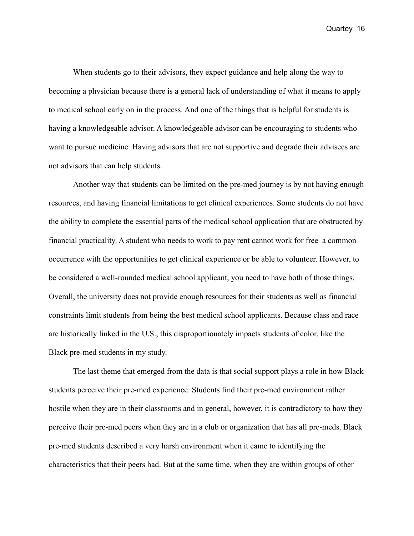When students go to their advisors, they expect guidance and help along the way to becoming a physician because there is a general lack of understanding of what it means to apply to medical school early on in the process. And one of the things that is helpful for students is having a knowledgeable advisor. A knowledgeable advisor can be encouraging to students who want to pursue medicine. Having advisors that are not supportive and degrade their advisees are not advisors that can help students.

Another way that students can be limited on the pre-med journey is by not having enough resources, and having financial limitations to get clinical experiences. Some students do not have the ability to complete the essential parts of the medical school application that are obstructed by financial practicality. A student who needs to work to pay rent cannot work for free–a common occurrence with the opportunities to get clinical experience or be able to volunteer. However, to be considered a well-rounded medical school applicant, you need to have both of those things. Overall, the university does not provide enough resources for their students as well as financial constraints limit students from being the best medical school applicants. Because class and race are historically linked in the U.S., this disproportionately impacts students of color, like the Black pre-med students in my study.

The last theme that emerged from the data is that social support plays a role in how Black students perceive their pre-med experience. Students find their pre-med environment rather hostile when they are in their classrooms and in general, however, it is contradictory to how they perceive their pre-med peers when they are in a club or organization that has all pre-meds. Black pre-med students described a very harsh environment when it came to identifying the characteristics that their peers had. But at the same time, when they are within groups of other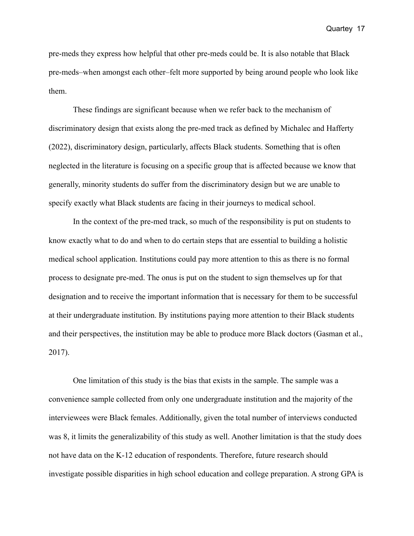pre-meds they express how helpful that other pre-meds could be. It is also notable that Black pre-meds–when amongst each other–felt more supported by being around people who look like them.

These findings are significant because when we refer back to the mechanism of discriminatory design that exists along the pre-med track as defined by Michalec and Hafferty (2022), discriminatory design, particularly, affects Black students. Something that is often neglected in the literature is focusing on a specific group that is affected because we know that generally, minority students do suffer from the discriminatory design but we are unable to specify exactly what Black students are facing in their journeys to medical school.

In the context of the pre-med track, so much of the responsibility is put on students to know exactly what to do and when to do certain steps that are essential to building a holistic medical school application. Institutions could pay more attention to this as there is no formal process to designate pre-med. The onus is put on the student to sign themselves up for that designation and to receive the important information that is necessary for them to be successful at their undergraduate institution. By institutions paying more attention to their Black students and their perspectives, the institution may be able to produce more Black doctors (Gasman et al., 2017).

One limitation of this study is the bias that exists in the sample. The sample was a convenience sample collected from only one undergraduate institution and the majority of the interviewees were Black females. Additionally, given the total number of interviews conducted was 8, it limits the generalizability of this study as well. Another limitation is that the study does not have data on the K-12 education of respondents. Therefore, future research should investigate possible disparities in high school education and college preparation. A strong GPA is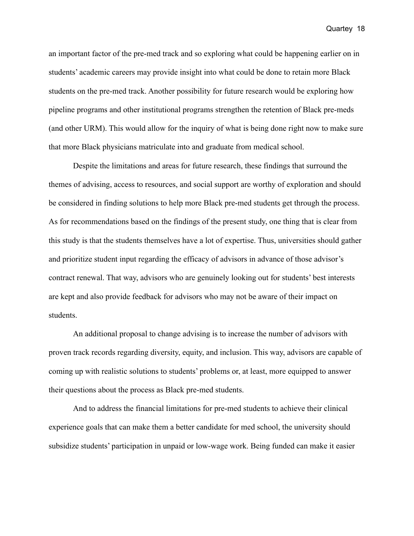an important factor of the pre-med track and so exploring what could be happening earlier on in students' academic careers may provide insight into what could be done to retain more Black students on the pre-med track. Another possibility for future research would be exploring how pipeline programs and other institutional programs strengthen the retention of Black pre-meds (and other URM). This would allow for the inquiry of what is being done right now to make sure that more Black physicians matriculate into and graduate from medical school.

Despite the limitations and areas for future research, these findings that surround the themes of advising, access to resources, and social support are worthy of exploration and should be considered in finding solutions to help more Black pre-med students get through the process. As for recommendations based on the findings of the present study, one thing that is clear from this study is that the students themselves have a lot of expertise. Thus, universities should gather and prioritize student input regarding the efficacy of advisors in advance of those advisor's contract renewal. That way, advisors who are genuinely looking out for students' best interests are kept and also provide feedback for advisors who may not be aware of their impact on students.

An additional proposal to change advising is to increase the number of advisors with proven track records regarding diversity, equity, and inclusion. This way, advisors are capable of coming up with realistic solutions to students' problems or, at least, more equipped to answer their questions about the process as Black pre-med students.

And to address the financial limitations for pre-med students to achieve their clinical experience goals that can make them a better candidate for med school, the university should subsidize students' participation in unpaid or low-wage work. Being funded can make it easier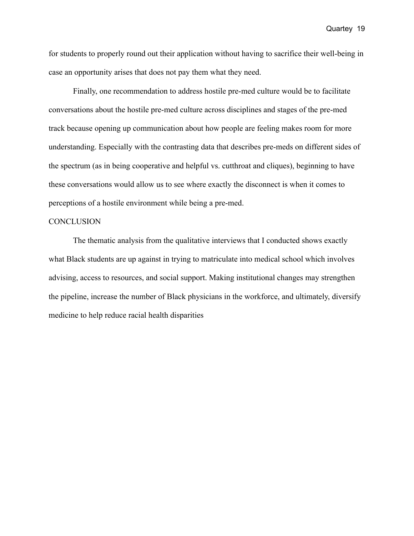for students to properly round out their application without having to sacrifice their well-being in case an opportunity arises that does not pay them what they need.

Finally, one recommendation to address hostile pre-med culture would be to facilitate conversations about the hostile pre-med culture across disciplines and stages of the pre-med track because opening up communication about how people are feeling makes room for more understanding. Especially with the contrasting data that describes pre-meds on different sides of the spectrum (as in being cooperative and helpful vs. cutthroat and cliques), beginning to have these conversations would allow us to see where exactly the disconnect is when it comes to perceptions of a hostile environment while being a pre-med.

### **CONCLUSION**

The thematic analysis from the qualitative interviews that I conducted shows exactly what Black students are up against in trying to matriculate into medical school which involves advising, access to resources, and social support. Making institutional changes may strengthen the pipeline, increase the number of Black physicians in the workforce, and ultimately, diversify medicine to help reduce racial health disparities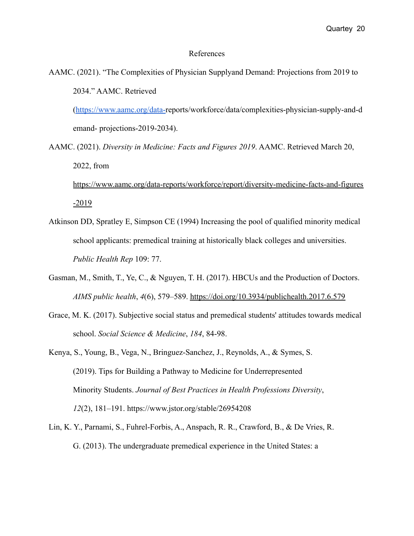### References

AAMC. (2021). "The Complexities of Physician Supplyand Demand: Projections from 2019 to 2034." AAMC. Retrieved

([https://www.aamc.org/data-r](https://www.aamc.org/data-)eports/workforce/data/complexities-physician-supply-and-d emand- projections-2019-2034).

- AAMC. (2021). *Diversity in Medicine: Facts and Figures 2019*. AAMC. Retrieved March 20, 2022, from [https://www.aamc.org/data-reports/workforce/report/diversity-medicine-facts-and-figures](https://www.aamc.org/data-reports/workforce/report/diversity-medicine-facts-and-figures-2019)  $-2019$
- Atkinson DD, Spratley E, Simpson CE (1994) Increasing the pool of qualified minority medical school applicants: premedical training at historically black colleges and universities. *Public Health Rep* 109: 77.
- Gasman, M., Smith, T., Ye, C., & Nguyen, T. H. (2017). HBCUs and the Production of Doctors. *AIMS public health*, *4*(6), 579–589. <https://doi.org/10.3934/publichealth.2017.6.579>
- Grace, M. K. (2017). Subjective social status and premedical students' attitudes towards medical school. *Social Science & Medicine*, *184*, 84-98.
- Kenya, S., Young, B., Vega, N., Bringuez-Sanchez, J., Reynolds, A., & Symes, S. (2019). Tips for Building a Pathway to Medicine for Underrepresented Minority Students. *Journal of Best Practices in Health Professions Diversity*, *12*(2), 181–191. https://www.jstor.org/stable/26954208
- Lin, K. Y., Parnami, S., Fuhrel-Forbis, A., Anspach, R. R., Crawford, B., & De Vries, R. G. (2013). The undergraduate premedical experience in the United States: a